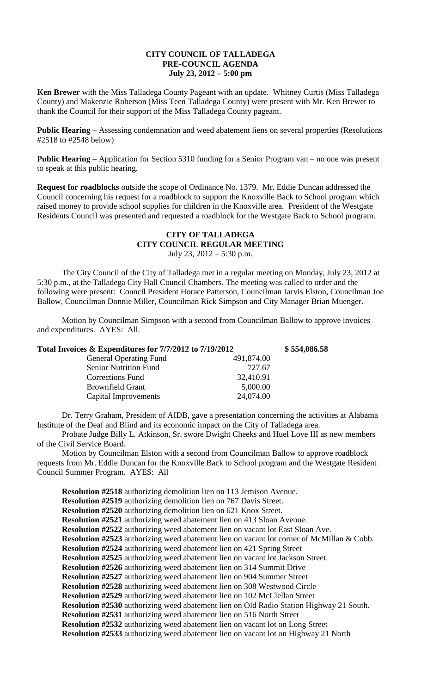## **CITY COUNCIL OF TALLADEGA PRE-COUNCIL AGENDA July 23, 2012 – 5:00 pm**

**Ken Brewer** with the Miss Talladega County Pageant with an update. Whitney Curtis (Miss Talladega County) and Makenzie Roberson (Miss Teen Talladega County) were present with Mr. Ken Brewer to thank the Council for their support of the Miss Talladega County pageant.

**Public Hearing –** Assessing condemnation and weed abatement liens on several properties (Resolutions #2518 to #2548 below)

**Public Hearing –** Application for Section 5310 funding for a Senior Program van – no one was present to speak at this public hearing.

**Request for roadblocks** outside the scope of Ordinance No. 1379. Mr. Eddie Duncan addressed the Council concerning his request for a roadblock to support the Knoxville Back to School program which raised money to provide school supplies for children in the Knoxville area. President of the Westgate Residents Council was presented and requested a roadblock for the Westgate Back to School program.

## **CITY OF TALLADEGA CITY COUNCIL REGULAR MEETING** July 23, 2012 – 5:30 p.m.

The City Council of the City of Talladega met in a regular meeting on Monday, July 23, 2012 at 5:30 p.m., at the Talladega City Hall Council Chambers. The meeting was called to order and the following were present: Council President Horace Patterson, Councilman Jarvis Elston, Councilman Joe Ballow, Councilman Donnie Miller, Councilman Rick Simpson and City Manager Brian Muenger.

Motion by Councilman Simpson with a second from Councilman Ballow to approve invoices and expenditures. AYES: All.

| Total Invoices & Expenditures for 7/7/2012 to 7/19/2012 |            | \$554,086.58 |
|---------------------------------------------------------|------------|--------------|
| <b>General Operating Fund</b>                           | 491,874.00 |              |
| <b>Senior Nutrition Fund</b>                            | 727.67     |              |
| <b>Corrections Fund</b>                                 | 32,410.91  |              |
| <b>Brownfield Grant</b>                                 | 5,000.00   |              |
| Capital Improvements                                    | 24,074.00  |              |

Dr. Terry Graham, President of AIDB, gave a presentation concerning the activities at Alabama Institute of the Deaf and Blind and its economic impact on the City of Talladega area.

Probate Judge Billy L. Atkinson, Sr. swore Dwight Cheeks and Huel Love III as new members of the Civil Service Board.

Motion by Councilman Elston with a second from Councilman Ballow to approve roadblock requests from Mr. Eddie Duncan for the Knoxville Back to School program and the Westgate Resident Council Summer Program. AYES: All

**Resolution #2518** authorizing demolition lien on 113 Jemison Avenue. **Resolution #2519** authorizing demolition lien on 767 Davis Street. **Resolution #2520** authorizing demolition lien on 621 Knox Street. **Resolution #2521** authorizing weed abatement lien on 413 Sloan Avenue. **Resolution #2522** authorizing weed abatement lien on vacant lot East Sloan Ave. **Resolution #2523** authorizing weed abatement lien on vacant lot corner of McMillan & Cobb. **Resolution #2524** authorizing weed abatement lien on 421 Spring Street **Resolution #2525** authorizing weed abatement lien on vacant lot Jackson Street. **Resolution #2526** authorizing weed abatement lien on 314 Summit Drive **Resolution #2527** authorizing weed abatement lien on 904 Summer Street **Resolution #2528** authorizing weed abatement lien on 308 Westwood Circle **Resolution #2529** authorizing weed abatement lien on 102 McClellan Street **Resolution #2530** authorizing weed abatement lien on Old Radio Station Highway 21 South. **Resolution #2531** authorizing weed abatement lien on 516 North Street **Resolution #2532** authorizing weed abatement lien on vacant lot on Long Street **Resolution #2533** authorizing weed abatement lien on vacant lot on Highway 21 North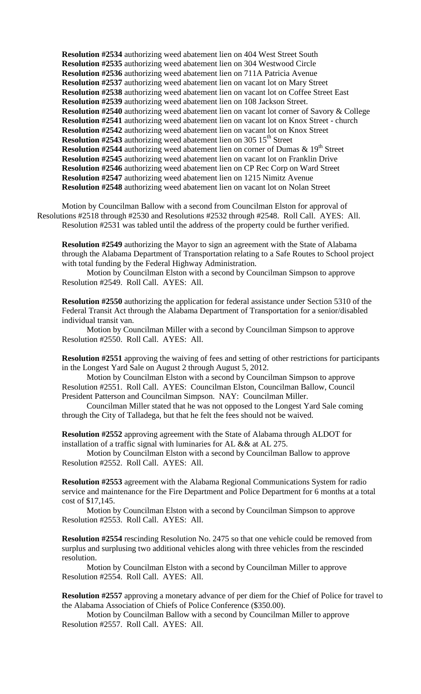**Resolution #2534** authorizing weed abatement lien on 404 West Street South **Resolution #2535** authorizing weed abatement lien on 304 Westwood Circle **Resolution #2536** authorizing weed abatement lien on 711A Patricia Avenue **Resolution #2537** authorizing weed abatement lien on vacant lot on Mary Street **Resolution #2538** authorizing weed abatement lien on vacant lot on Coffee Street East **Resolution #2539** authorizing weed abatement lien on 108 Jackson Street. **Resolution #2540** authorizing weed abatement lien on vacant lot corner of Savory & College **Resolution #2541** authorizing weed abatement lien on vacant lot on Knox Street - church **Resolution #2542** authorizing weed abatement lien on vacant lot on Knox Street **Resolution #2543** authorizing weed abatement lien on 305 15<sup>th</sup> Street **Resolution #2544** authorizing weed abatement lien on corner of Dumas  $\&$  19<sup>th</sup> Street **Resolution #2545** authorizing weed abatement lien on vacant lot on Franklin Drive **Resolution #2546** authorizing weed abatement lien on CP Rec Corp on Ward Street **Resolution #2547** authorizing weed abatement lien on 1215 Nimitz Avenue **Resolution #2548** authorizing weed abatement lien on vacant lot on Nolan Street

Motion by Councilman Ballow with a second from Councilman Elston for approval of Resolutions #2518 through #2530 and Resolutions #2532 through #2548. Roll Call. AYES: All. Resolution #2531 was tabled until the address of the property could be further verified.

**Resolution #2549** authorizing the Mayor to sign an agreement with the State of Alabama through the Alabama Department of Transportation relating to a Safe Routes to School project with total funding by the Federal Highway Administration.

Motion by Councilman Elston with a second by Councilman Simpson to approve Resolution #2549. Roll Call. AYES: All.

**Resolution #2550** authorizing the application for federal assistance under Section 5310 of the Federal Transit Act through the Alabama Department of Transportation for a senior/disabled individual transit van.

Motion by Councilman Miller with a second by Councilman Simpson to approve Resolution #2550. Roll Call. AYES: All.

**Resolution #2551** approving the waiving of fees and setting of other restrictions for participants in the Longest Yard Sale on August 2 through August 5, 2012.

Motion by Councilman Elston with a second by Councilman Simpson to approve Resolution #2551. Roll Call. AYES: Councilman Elston, Councilman Ballow, Council President Patterson and Councilman Simpson. NAY: Councilman Miller.

Councilman Miller stated that he was not opposed to the Longest Yard Sale coming through the City of Talladega, but that he felt the fees should not be waived.

**Resolution #2552** approving agreement with the State of Alabama through ALDOT for installation of a traffic signal with luminaries for AL && at AL 275.

Motion by Councilman Elston with a second by Councilman Ballow to approve Resolution #2552. Roll Call. AYES: All.

**Resolution #2553** agreement with the Alabama Regional Communications System for radio service and maintenance for the Fire Department and Police Department for 6 months at a total cost of \$17,145.

Motion by Councilman Elston with a second by Councilman Simpson to approve Resolution #2553. Roll Call. AYES: All.

**Resolution #2554** rescinding Resolution No. 2475 so that one vehicle could be removed from surplus and surplusing two additional vehicles along with three vehicles from the rescinded resolution.

Motion by Councilman Elston with a second by Councilman Miller to approve Resolution #2554. Roll Call. AYES: All.

**Resolution #2557** approving a monetary advance of per diem for the Chief of Police for travel to the Alabama Association of Chiefs of Police Conference (\$350.00).

Motion by Councilman Ballow with a second by Councilman Miller to approve Resolution #2557. Roll Call. AYES: All.